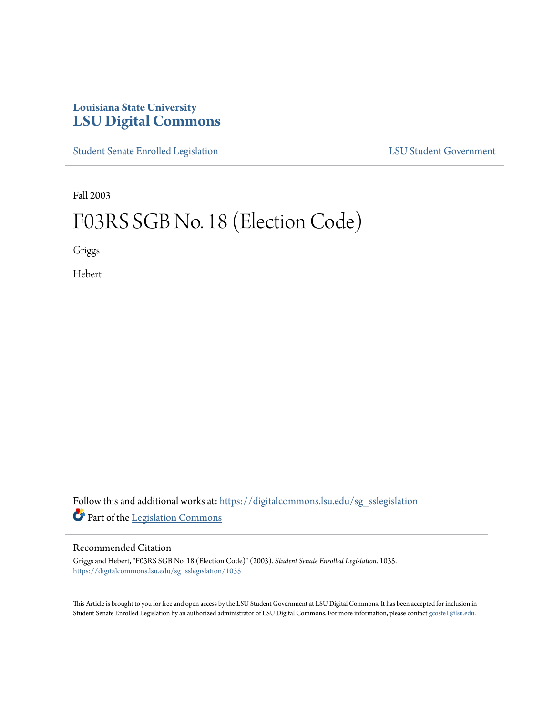# **Louisiana State University [LSU Digital Commons](https://digitalcommons.lsu.edu?utm_source=digitalcommons.lsu.edu%2Fsg_sslegislation%2F1035&utm_medium=PDF&utm_campaign=PDFCoverPages)**

[Student Senate Enrolled Legislation](https://digitalcommons.lsu.edu/sg_sslegislation?utm_source=digitalcommons.lsu.edu%2Fsg_sslegislation%2F1035&utm_medium=PDF&utm_campaign=PDFCoverPages) [LSU Student Government](https://digitalcommons.lsu.edu/sg?utm_source=digitalcommons.lsu.edu%2Fsg_sslegislation%2F1035&utm_medium=PDF&utm_campaign=PDFCoverPages)

Fall 2003

# F03RS SGB No. 18 (Election Code)

Griggs

Hebert

Follow this and additional works at: [https://digitalcommons.lsu.edu/sg\\_sslegislation](https://digitalcommons.lsu.edu/sg_sslegislation?utm_source=digitalcommons.lsu.edu%2Fsg_sslegislation%2F1035&utm_medium=PDF&utm_campaign=PDFCoverPages) Part of the [Legislation Commons](http://network.bepress.com/hgg/discipline/859?utm_source=digitalcommons.lsu.edu%2Fsg_sslegislation%2F1035&utm_medium=PDF&utm_campaign=PDFCoverPages)

## Recommended Citation

Griggs and Hebert, "F03RS SGB No. 18 (Election Code)" (2003). *Student Senate Enrolled Legislation*. 1035. [https://digitalcommons.lsu.edu/sg\\_sslegislation/1035](https://digitalcommons.lsu.edu/sg_sslegislation/1035?utm_source=digitalcommons.lsu.edu%2Fsg_sslegislation%2F1035&utm_medium=PDF&utm_campaign=PDFCoverPages)

This Article is brought to you for free and open access by the LSU Student Government at LSU Digital Commons. It has been accepted for inclusion in Student Senate Enrolled Legislation by an authorized administrator of LSU Digital Commons. For more information, please contact [gcoste1@lsu.edu.](mailto:gcoste1@lsu.edu)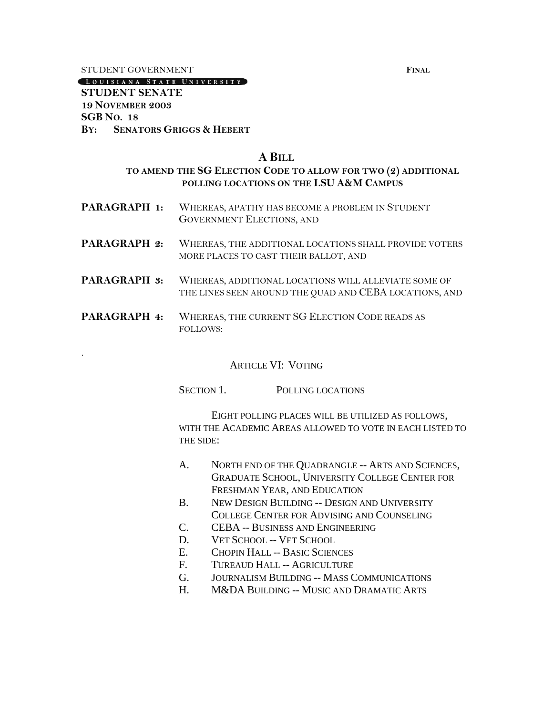#### **STUDENT GOVERNMENT FINAL**

.

LOUISIANA STATE UNIVERSITY

## **STUDENT SENATE 19 NOVEMBER 2003 SGB NO. 18 BY: SENATORS GRIGGS & HEBERT**

#### **A BILL**

# **TO AMEND THE SG ELECTION CODE TO ALLOW FOR TWO (2) ADDITIONAL POLLING LOCATIONS ON THE LSU A&M CAMPUS**

- **PARAGRAPH 1:** WHEREAS, APATHY HAS BECOME A PROBLEM IN STUDENT GOVERNMENT ELECTIONS, AND
- **PARAGRAPH 2:** WHEREAS, THE ADDITIONAL LOCATIONS SHALL PROVIDE VOTERS MORE PLACES TO CAST THEIR BALLOT, AND
- **PARAGRAPH 3:** WHEREAS, ADDITIONAL LOCATIONS WILL ALLEVIATE SOME OF THE LINES SEEN AROUND THE QUAD AND CEBA LOCATIONS, AND
- **PARAGRAPH 4:** WHEREAS, THE CURRENT SG ELECTION CODE READS AS FOLLOWS:

#### ARTICLE VI: VOTING

SECTION 1. POLLING LOCATIONS

EIGHT POLLING PLACES WILL BE UTILIZED AS FOLLOWS, WITH THE ACADEMIC AREAS ALLOWED TO VOTE IN EACH LISTED TO THE SIDE:

- A. NORTH END OF THE QUADRANGLE -- ARTS AND SCIENCES, GRADUATE SCHOOL, UNIVERSITY COLLEGE CENTER FOR FRESHMAN YEAR, AND EDUCATION
- B. NEW DESIGN BUILDING -- DESIGN AND UNIVERSITY COLLEGE CENTER FOR ADVISING AND COUNSELING
- C. CEBA -- BUSINESS AND ENGINEERING
- D. VET SCHOOL -- VET SCHOOL
- E. CHOPIN HALL -- BASIC SCIENCES
- F. TUREAUD HALL -- AGRICULTURE
- G. JOURNALISM BUILDING -- MASS COMMUNICATIONS
- H. M&DA BUILDING -- MUSIC AND DRAMATIC ARTS